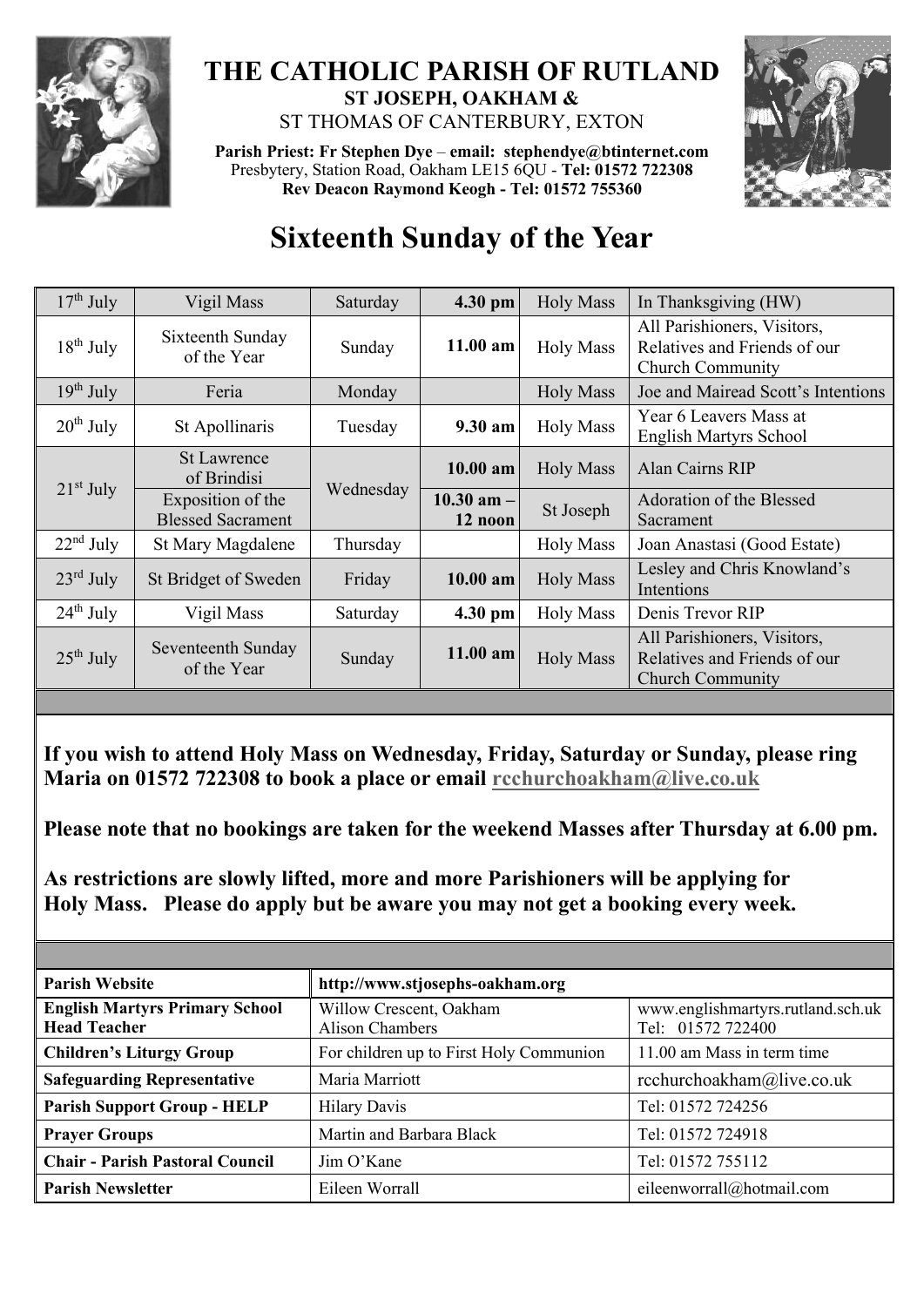

## **THE CATHOLIC PARISH OF RUTLAND ST JOSEPH, OAKHAM &**  ST THOMAS OF CANTERBURY, EXTON

**Parish Priest: Fr Stephen Dye** – **[email: stephendye@btinternet.com](mailto:email:%20%20stephendye@btinternet.com)** Presbytery, Station Road, Oakham LE15 6QU - **Tel: 01572 722308 Rev Deacon Raymond Keogh - Tel: 01572 755360**



## **Sixteenth Sunday of the Year**

| $17th$ July           | Vigil Mass                                    | Saturday  | 4.30 pm                   | <b>Holy Mass</b> | In Thanksgiving (HW)                                                                   |
|-----------------------|-----------------------------------------------|-----------|---------------------------|------------------|----------------------------------------------------------------------------------------|
| $18^{th}$ July        | Sixteenth Sunday<br>of the Year               | Sunday    | $11.00$ am                | <b>Holy Mass</b> | All Parishioners, Visitors,<br>Relatives and Friends of our<br><b>Church Community</b> |
| $19^{th}$ July        | Feria                                         | Monday    |                           | <b>Holy Mass</b> | Joe and Mairead Scott's Intentions                                                     |
| $20th$ July           | St Apollinaris                                | Tuesday   | 9.30 am                   | <b>Holy Mass</b> | Year 6 Leavers Mass at<br>English Martyrs School                                       |
| $21st$ July           | <b>St Lawrence</b><br>of Brindisi             | Wednesday | 10.00 am                  | <b>Holy Mass</b> | Alan Cairns RIP                                                                        |
|                       | Exposition of the<br><b>Blessed Sacrament</b> |           | $10.30$ am $-$<br>12 noon | St Joseph        | Adoration of the Blessed<br>Sacrament                                                  |
| $22nd$ July           | St Mary Magdalene                             | Thursday  |                           | <b>Holy Mass</b> | Joan Anastasi (Good Estate)                                                            |
| $23^{\text{rd}}$ July | St Bridget of Sweden                          | Friday    | 10.00 am                  | <b>Holy Mass</b> | Lesley and Chris Knowland's<br>Intentions                                              |
| $24^{\text{th}}$ July | Vigil Mass                                    | Saturday  | 4.30 pm                   | <b>Holy Mass</b> | Denis Trevor RIP                                                                       |
| $25th$ July           | Seventeenth Sunday<br>of the Year             | Sunday    | 11.00 am                  | <b>Holy Mass</b> | All Parishioners, Visitors,<br>Relatives and Friends of our<br><b>Church Community</b> |

**If you wish to attend Holy Mass on Wednesday, Friday, Saturday or Sunday, please ring Maria on 01572 722308 to book a place or email [rcchurchoakham@live.co.uk](mailto:rcchurchoakham@live.co.uk)**

**Please note that no bookings are taken for the weekend Masses after Thursday at 6.00 pm.**

**As restrictions are slowly lifted, more and more Parishioners will be applying for Holy Mass. Please do apply but be aware you may not get a booking every week.**

| <b>Parish Website</b>                                        | http://www.stjosephs-oakham.org                   |                                                        |  |  |
|--------------------------------------------------------------|---------------------------------------------------|--------------------------------------------------------|--|--|
| <b>English Martyrs Primary School</b><br><b>Head Teacher</b> | Willow Crescent, Oakham<br><b>Alison Chambers</b> | www.englishmartyrs.rutland.sch.uk<br>Tel: 01572 722400 |  |  |
| <b>Children's Liturgy Group</b>                              | For children up to First Holy Communion           | 11.00 am Mass in term time                             |  |  |
| <b>Safeguarding Representative</b>                           | Maria Marriott                                    | rcchurchoakham@live.co.uk                              |  |  |
| <b>Parish Support Group - HELP</b>                           | <b>Hilary Davis</b>                               | Tel: 01572 724256                                      |  |  |
| <b>Prayer Groups</b>                                         | Martin and Barbara Black                          | Tel: 01572 724918                                      |  |  |
| <b>Chair - Parish Pastoral Council</b>                       | $\lim$ O'Kane                                     | Tel: 01572 755112                                      |  |  |
| <b>Parish Newsletter</b>                                     | Eileen Worrall                                    | eileenworrall@hotmail.com                              |  |  |